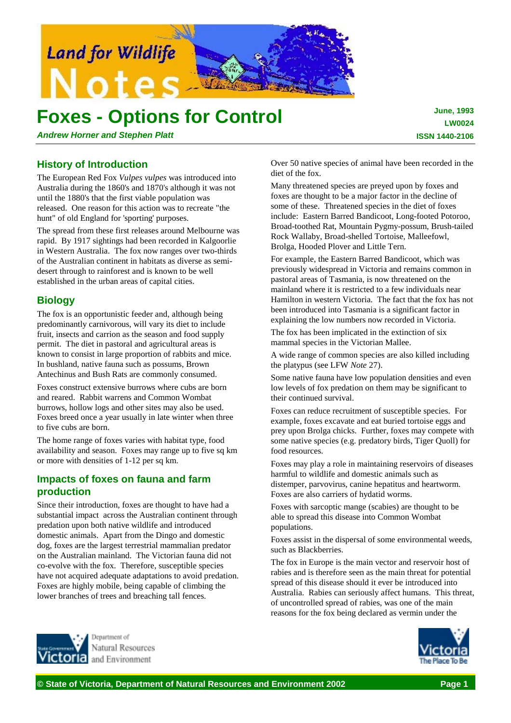

# **Foxes - Options for Control**

*Andrew Horner and Stephen Platt*

**June, 1993 LW0024 ISSN 1440-2106**

# **History of Introduction**

The European Red Fox *Vulpes vulpes* was introduced into Australia during the 1860's and 1870's although it was not until the 1880's that the first viable population was released. One reason for this action was to recreate "the hunt" of old England for 'sporting' purposes.

The spread from these first releases around Melbourne was rapid. By 1917 sightings had been recorded in Kalgoorlie in Western Australia. The fox now ranges over two-thirds of the Australian continent in habitats as diverse as semidesert through to rainforest and is known to be well established in the urban areas of capital cities.

# **Biology**

The fox is an opportunistic feeder and, although being predominantly carnivorous, will vary its diet to include fruit, insects and carrion as the season and food supply permit. The diet in pastoral and agricultural areas is known to consist in large proportion of rabbits and mice. In bushland, native fauna such as possums, Brown Antechinus and Bush Rats are commonly consumed.

Foxes construct extensive burrows where cubs are born and reared. Rabbit warrens and Common Wombat burrows, hollow logs and other sites may also be used. Foxes breed once a year usually in late winter when three to five cubs are born.

The home range of foxes varies with habitat type, food availability and season. Foxes may range up to five sq km or more with densities of 1-12 per sq km.

# **Impacts of foxes on fauna and farm production**

Jenartment of Natural Resources and Environment

Since their introduction, foxes are thought to have had a substantial impact across the Australian continent through predation upon both native wildlife and introduced domestic animals. Apart from the Dingo and domestic dog, foxes are the largest terrestrial mammalian predator on the Australian mainland. The Victorian fauna did not co-evolve with the fox. Therefore, susceptible species have not acquired adequate adaptations to avoid predation. Foxes are highly mobile, being capable of climbing the lower branches of trees and breaching tall fences.

Over 50 native species of animal have been recorded in the diet of the fox.

Many threatened species are preyed upon by foxes and foxes are thought to be a major factor in the decline of some of these. Threatened species in the diet of foxes include: Eastern Barred Bandicoot, Long-footed Potoroo, Broad-toothed Rat, Mountain Pygmy-possum, Brush-tailed Rock Wallaby, Broad-shelled Tortoise, Malleefowl, Brolga, Hooded Plover and Little Tern.

For example, the Eastern Barred Bandicoot, which was previously widespread in Victoria and remains common in pastoral areas of Tasmania, is now threatened on the mainland where it is restricted to a few individuals near Hamilton in western Victoria. The fact that the fox has not been introduced into Tasmania is a significant factor in explaining the low numbers now recorded in Victoria.

The fox has been implicated in the extinction of six mammal species in the Victorian Mallee.

A wide range of common species are also killed including the platypus (see LFW *Note* 27).

Some native fauna have low population densities and even low levels of fox predation on them may be significant to their continued survival.

Foxes can reduce recruitment of susceptible species. For example, foxes excavate and eat buried tortoise eggs and prey upon Brolga chicks. Further, foxes may compete with some native species (e.g. predatory birds, Tiger Quoll) for food resources.

Foxes may play a role in maintaining reservoirs of diseases harmful to wildlife and domestic animals such as distemper, parvovirus, canine hepatitus and heartworm. Foxes are also carriers of hydatid worms.

Foxes with sarcoptic mange (scabies) are thought to be able to spread this disease into Common Wombat populations.

Foxes assist in the dispersal of some environmental weeds, such as Blackberries.

The fox in Europe is the main vector and reservoir host of rabies and is therefore seen as the main threat for potential spread of this disease should it ever be introduced into Australia. Rabies can seriously affect humans. This threat, of uncontrolled spread of rabies, was one of the main reasons for the fox being declared as vermin under the

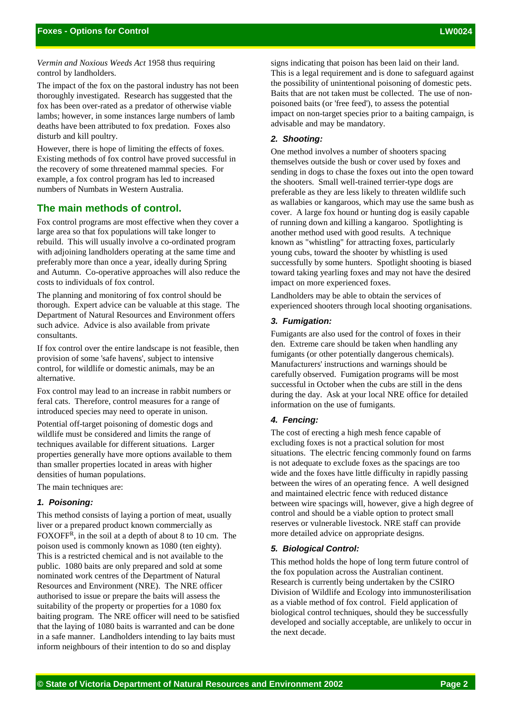*Vermin and Noxious Weeds Act* 1958 thus requiring control by landholders.

The impact of the fox on the pastoral industry has not been thoroughly investigated. Research has suggested that the fox has been over-rated as a predator of otherwise viable lambs; however, in some instances large numbers of lamb deaths have been attributed to fox predation. Foxes also disturb and kill poultry.

However, there is hope of limiting the effects of foxes. Existing methods of fox control have proved successful in the recovery of some threatened mammal species. For example, a fox control program has led to increased numbers of Numbats in Western Australia.

## **The main methods of control.**

Fox control programs are most effective when they cover a large area so that fox populations will take longer to rebuild. This will usually involve a co-ordinated program with adjoining landholders operating at the same time and preferably more than once a year, ideally during Spring and Autumn. Co-operative approaches will also reduce the costs to individuals of fox control.

The planning and monitoring of fox control should be thorough. Expert advice can be valuable at this stage. The Department of Natural Resources and Environment offers such advice. Advice is also available from private consultants.

If fox control over the entire landscape is not feasible, then provision of some 'safe havens', subject to intensive control, for wildlife or domestic animals, may be an alternative.

Fox control may lead to an increase in rabbit numbers or feral cats. Therefore, control measures for a range of introduced species may need to operate in unison.

Potential off-target poisoning of domestic dogs and wildlife must be considered and limits the range of techniques available for different situations. Larger properties generally have more options available to them than smaller properties located in areas with higher densities of human populations.

The main techniques are:

#### *1. Poisoning:*

This method consists of laying a portion of meat, usually liver or a prepared product known commercially as FOXOFFR, in the soil at a depth of about 8 to 10 cm. The poison used is commonly known as 1080 (ten eighty). This is a restricted chemical and is not available to the public. 1080 baits are only prepared and sold at some nominated work centres of the Department of Natural Resources and Environment (NRE). The NRE officer authorised to issue or prepare the baits will assess the suitability of the property or properties for a 1080 fox baiting program. The NRE officer will need to be satisfied that the laying of 1080 baits is warranted and can be done in a safe manner. Landholders intending to lay baits must inform neighbours of their intention to do so and display

signs indicating that poison has been laid on their land. This is a legal requirement and is done to safeguard against the possibility of unintentional poisoning of domestic pets. Baits that are not taken must be collected. The use of nonpoisoned baits (or 'free feed'), to assess the potential impact on non-target species prior to a baiting campaign, is advisable and may be mandatory.

#### *2. Shooting:*

One method involves a number of shooters spacing themselves outside the bush or cover used by foxes and sending in dogs to chase the foxes out into the open toward the shooters. Small well-trained terrier-type dogs are preferable as they are less likely to threaten wildlife such as wallabies or kangaroos, which may use the same bush as cover. A large fox hound or hunting dog is easily capable of running down and killing a kangaroo. Spotlighting is another method used with good results. A technique known as "whistling" for attracting foxes, particularly young cubs, toward the shooter by whistling is used successfully by some hunters. Spotlight shooting is biased toward taking yearling foxes and may not have the desired impact on more experienced foxes.

Landholders may be able to obtain the services of experienced shooters through local shooting organisations.

#### *3. Fumigation:*

Fumigants are also used for the control of foxes in their den. Extreme care should be taken when handling any fumigants (or other potentially dangerous chemicals). Manufacturers' instructions and warnings should be carefully observed. Fumigation programs will be most successful in October when the cubs are still in the dens during the day. Ask at your local NRE office for detailed information on the use of fumigants.

#### *4. Fencing:*

The cost of erecting a high mesh fence capable of excluding foxes is not a practical solution for most situations. The electric fencing commonly found on farms is not adequate to exclude foxes as the spacings are too wide and the foxes have little difficulty in rapidly passing between the wires of an operating fence. A well designed and maintained electric fence with reduced distance between wire spacings will, however, give a high degree of control and should be a viable option to protect small reserves or vulnerable livestock. NRE staff can provide more detailed advice on appropriate designs.

#### *5. Biological Control:*

This method holds the hope of long term future control of the fox population across the Australian continent. Research is currently being undertaken by the CSIRO Division of Wildlife and Ecology into immunosterilisation as a viable method of fox control. Field application of biological control techniques, should they be successfully developed and socially acceptable, are unlikely to occur in the next decade.